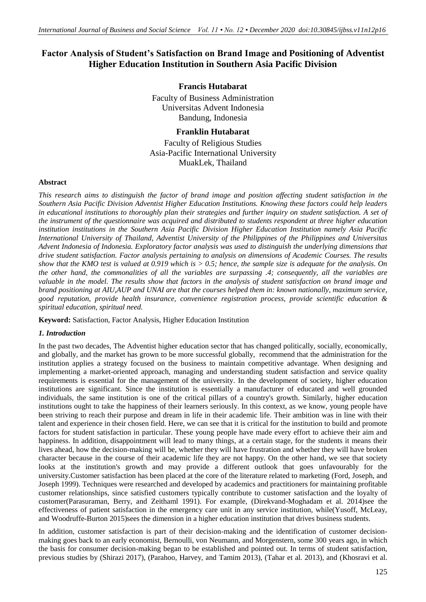# **Factor Analysis of Student's Satisfaction on Brand Image and Positioning of Adventist Higher Education Institution in Southern Asia Pacific Division**

# **Francis Hutabarat**

Faculty of Business Administration Universitas Advent Indonesia Bandung, Indonesia

# **Franklin Hutabarat**

Faculty of Religious Studies Asia-Pacific International University MuakLek, Thailand

### **Abstract**

*This research aims to distinguish the factor of brand image and position affecting student satisfaction in the Southern Asia Pacific Division Adventist Higher Education Institutions. Knowing these factors could help leaders in educational institutions to thoroughly plan their strategies and further inquiry on student satisfaction. A set of the instrument of the questionnaire was acquired and distributed to students respondent at three higher education institution institutions in the Southern Asia Pacific Division Higher Education Institution namely Asia Pacific International University of Thailand, Adventist University of the Philippines of the Philippines and Universitas Advent Indonesia of Indonesia. Exploratory factor analysis was used to distinguish the underlying dimensions that drive student satisfaction. Factor analysis pertaining to analysis on dimensions of Academic Courses. The results show that the KMO test is valued at 0.919 which is > 0.5; hence, the sample size is adequate for the analysis. On the other hand, the commonalities of all the variables are surpassing .4; consequently, all the variables are*  valuable in the model. The results show that factors in the analysis of student satisfaction on brand image and *brand positioning at AIU,AUP and UNAI are that the courses helped them in: known nationally, maximum service, good reputation, provide health insurance, convenience registration process, provide scientific education & spiritual education, spiritual need.*

**Keyword:** Satisfaction, Factor Analysis, Higher Education Institution

# *1. Introduction*

In the past two decades, The Adventist higher education sector that has changed politically, socially, economically, and globally, and the market has grown to be more successful globally, recommend that the administration for the institution applies a strategy focused on the business to maintain competitive advantage. When designing and implementing a market-oriented approach, managing and understanding student satisfaction and service quality requirements is essential for the management of the university. In the development of society, higher education institutions are significant. Since the institution is essentially a manufacturer of educated and well grounded individuals, the same institution is one of the critical pillars of a country's growth. Similarly, higher education institutions ought to take the happiness of their learners seriously. In this context, as we know, young people have been striving to reach their purpose and dream in life in their academic life. Their ambition was in line with their talent and experience in their chosen field. Here, we can see that it is critical for the institution to build and promote factors for student satisfaction in particular. These young people have made every effort to achieve their aim and happiness. In addition, disappointment will lead to many things, at a certain stage, for the students it means their lives ahead, how the decision-making will be, whether they will have frustration and whether they will have broken character because in the course of their academic life they are not happy. On the other hand, we see that society looks at the institution's growth and may provide a different outlook that goes unfavourably for the university.Customer satisfaction has been placed at the core of the literature related to marketing (Ford, Joseph, and Joseph 1999). Techniques were researched and developed by academics and practitioners for maintaining profitable customer relationships, since satisfied customers typically contribute to customer satisfaction and the loyalty of customer(Parasuraman, Berry, and Zeithaml 1991). For example, (Direkvand-Moghadam et al. 2014)see the effectiveness of patient satisfaction in the emergency care unit in any service institution, while(Yusoff, McLeay, and Woodruffe-Burton 2015)sees the dimension in a higher education institution that drives business students.

In addition, customer satisfaction is part of their decision-making and the identification of customer decisionmaking goes back to an early economist, Bernoulli, von Neumann, and Morgenstern, some 300 years ago, in which the basis for consumer decision-making began to be established and pointed out. In terms of student satisfaction, previous studies by (Shirazi 2017), (Parahoo, Harvey, and Tamim 2013), (Tahar et al. 2013), and (Khosravi et al.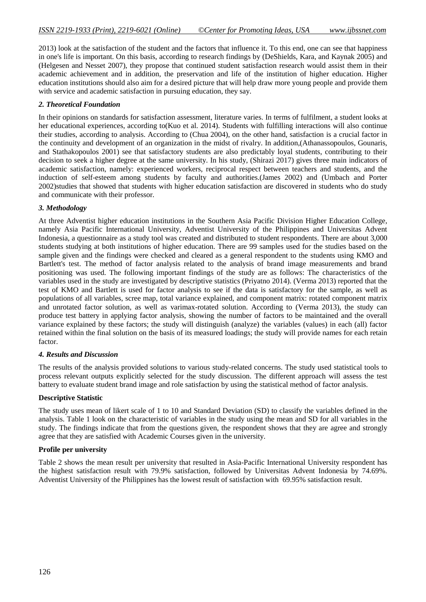2013) look at the satisfaction of the student and the factors that influence it. To this end, one can see that happiness in one's life is important. On this basis, according to research findings by (DeShields, Kara, and Kaynak 2005) and (Helgesen and Nesset 2007), they propose that continued student satisfaction research would assist them in their academic achievement and in addition, the preservation and life of the institution of higher education. Higher education institutions should also aim for a desired picture that will help draw more young people and provide them with service and academic satisfaction in pursuing education, they say.

# *2. Theoretical Foundation*

In their opinions on standards for satisfaction assessment, literature varies. In terms of fulfilment, a student looks at her educational experiences, according to(Kuo et al. 2014). Students with fulfilling interactions will also continue their studies, according to analysis. According to (Chua 2004), on the other hand, satisfaction is a crucial factor in the continuity and development of an organization in the midst of rivalry. In addition,(Athanassopoulos, Gounaris, and Stathakopoulos 2001) see that satisfactory students are also predictably loyal students, contributing to their decision to seek a higher degree at the same university. In his study, (Shirazi 2017) gives three main indicators of academic satisfaction, namely: experienced workers, reciprocal respect between teachers and students, and the induction of self-esteem among students by faculty and authorities.(James 2002) and (Umbach and Porter 2002)studies that showed that students with higher education satisfaction are discovered in students who do study and communicate with their professor.

# *3. Methodology*

At three Adventist higher education institutions in the Southern Asia Pacific Division Higher Education College, namely Asia Pacific International University, Adventist University of the Philippines and Universitas Advent Indonesia, a questionnaire as a study tool was created and distributed to student respondents. There are about 3,000 students studying at both institutions of higher education. There are 99 samples used for the studies based on the sample given and the findings were checked and cleared as a general respondent to the students using KMO and Bartlett's test. The method of factor analysis related to the analysis of brand image measurements and brand positioning was used. The following important findings of the study are as follows: The characteristics of the variables used in the study are investigated by descriptive statistics (Priyatno 2014). (Verma 2013) reported that the test of KMO and Bartlett is used for factor analysis to see if the data is satisfactory for the sample, as well as populations of all variables, scree map, total variance explained, and component matrix: rotated component matrix and unrotated factor solution, as well as varimax-rotated solution. According to (Verma 2013), the study can produce test battery in applying factor analysis, showing the number of factors to be maintained and the overall variance explained by these factors; the study will distinguish (analyze) the variables (values) in each (all) factor retained within the final solution on the basis of its measured loadings; the study will provide names for each retain factor.

# *4. Results and Discussion*

The results of the analysis provided solutions to various study-related concerns. The study used statistical tools to process relevant outputs explicitly selected for the study discussion. The different approach will assess the test battery to evaluate student brand image and role satisfaction by using the statistical method of factor analysis.

# **Descriptive Statistic**

The study uses mean of likert scale of 1 to 10 and Standard Deviation (SD) to classify the variables defined in the analysis. Table 1 look on the characteristic of variables in the study using the mean and SD for all variables in the study. The findings indicate that from the questions given, the respondent shows that they are agree and strongly agree that they are satisfied with Academic Courses given in the university.

#### **Profile per university**

Table 2 shows the mean result per university that resulted in Asia-Pacific International University respondent has the highest satisfaction result with 79.9% satisfaction, followed by Universitas Advent Indonesia by 74.69%. Adventist University of the Philippines has the lowest result of satisfaction with 69.95% satisfaction result.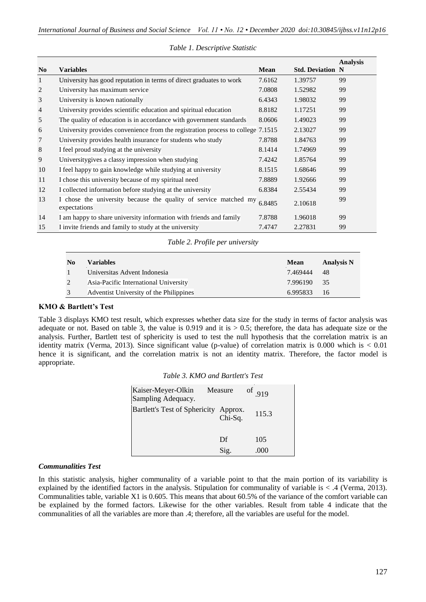| N <sub>0</sub> | <b>Variables</b>                                                                 | <b>Mean</b> | <b>Std. Deviation N</b> | <b>Analysis</b> |
|----------------|----------------------------------------------------------------------------------|-------------|-------------------------|-----------------|
| 1              | University has good reputation in terms of direct graduates to work              | 7.6162      | 1.39757                 | 99              |
| 2              | University has maximum service                                                   | 7.0808      | 1.52982                 | 99              |
| 3              | University is known nationally                                                   | 6.4343      | 1.98032                 | 99              |
| $\overline{4}$ | University provides scientific education and spiritual education                 | 8.8182      | 1.17251                 | 99              |
| 5              | The quality of education is in accordance with government standards              | 8.0606      | 1.49023                 | 99              |
| 6              | University provides convenience from the registration process to college 7.1515  |             | 2.13027                 | 99              |
| 7              | University provides health insurance for students who study                      | 7.8788      | 1.84763                 | 99              |
| 8              | I feel proud studying at the university                                          | 8.1414      | 1.74969                 | 99              |
| 9              | Universitygives a classy impression when studying                                | 7.4242      | 1.85764                 | 99              |
| 10             | I feel happy to gain knowledge while studying at university                      | 8.1515      | 1.68646                 | 99              |
| 11             | I chose this university because of my spiritual need                             | 7.8889      | 1.92666                 | 99              |
| 12             | I collected information before studying at the university                        | 6.8384      | 2.55434                 | 99              |
| 13             | I chose the university because the quality of service matched my<br>expectations | 6.8485      | 2.10618                 | 99              |
| 14             | I am happy to share university information with friends and family               | 7.8788      | 1.96018                 | 99              |
| 15             | I invite friends and family to study at the university                           | 7.4747      | 2.27831                 | 99              |

#### *Table 1. Descriptive Statistic*

*Table 2. Profile per university*

| No | <b>Variables</b>                        | <b>Mean</b> | <b>Analysis N</b> |
|----|-----------------------------------------|-------------|-------------------|
|    | Universitas Advent Indonesia            | 7.469444    | -48               |
|    | Asia-Pacific International University   | 7.996190    | 35                |
|    | Adventist University of the Philippines | 6.995833    | 16                |

# **KMO & Bartlett's Test**

Table 3 displays KMO test result, which expresses whether data size for the study in terms of factor analysis was adequate or not. Based on table 3, the value is  $0.919$  and it is  $> 0.5$ ; therefore, the data has adequate size or the analysis. Further, Bartlett test of sphericity is used to test the null hypothesis that the correlation matrix is an identity matrix (Verma, 2013). Since significant value (p-value) of correlation matrix is  $0.000$  which is  $< 0.01$ hence it is significant, and the correlation matrix is not an identity matrix. Therefore, the factor model is appropriate.

|  |  |  | Table 3. KMO and Bartlett's Test |  |
|--|--|--|----------------------------------|--|
|--|--|--|----------------------------------|--|

| Kaiser-Meyer-Olkin<br>Sampling Adequacy. | Measure            | of $.919$ |
|------------------------------------------|--------------------|-----------|
| <b>Bartlett's Test of Sphericity</b>     | Approx.<br>Chi-Sq. | 115.3     |
|                                          | Df                 | 105       |
|                                          | Sig.               | (1)(1)    |

# *Communalities Test*

In this statistic analysis, higher communality of a variable point to that the main portion of its variability is explained by the identified factors in the analysis. Stipulation for communality of variable is < .4 (Verma, 2013). Communalities table, variable X1 is 0.605. This means that about 60.5% of the variance of the comfort variable can be explained by the formed factors. Likewise for the other variables. Result from table 4 indicate that the communalities of all the variables are more than .4; therefore, all the variables are useful for the model.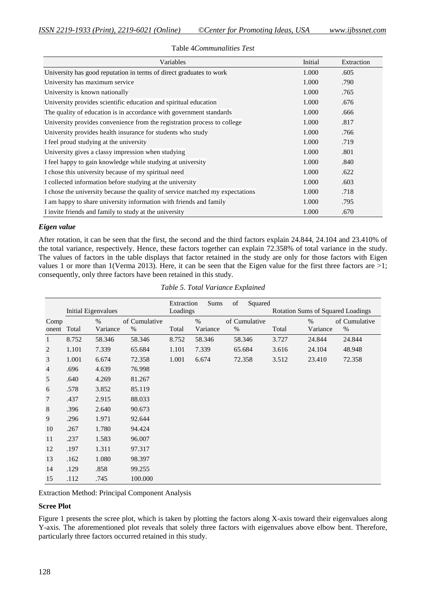| Variables                                                                     | Initial | Extraction |
|-------------------------------------------------------------------------------|---------|------------|
| University has good reputation in terms of direct graduates to work           | 1.000   | .605       |
| University has maximum service                                                | 1.000   | .790       |
| University is known nationally                                                | 1.000   | .765       |
| University provides scientific education and spiritual education              | 1.000   | .676       |
| The quality of education is in accordance with government standards           | 1.000   | .666       |
| University provides convenience from the registration process to college      | 1.000   | .817       |
| University provides health insurance for students who study                   | 1.000   | .766       |
| I feel proud studying at the university                                       | 1.000   | .719       |
| University gives a classy impression when studying                            | 1.000   | .801       |
| I feel happy to gain knowledge while studying at university                   | 1.000   | .840       |
| I chose this university because of my spiritual need                          | 1.000   | .622       |
| I collected information before studying at the university                     | 1.000   | .603       |
| I chose the university because the quality of service matched my expectations | 1.000   | .718       |
| I am happy to share university information with friends and family            | 1.000   | .795       |
| I invite friends and family to study at the university                        | 1.000   | .670       |

#### Table 4*Communalities Test*

### *Eigen value*

After rotation, it can be seen that the first, the second and the third factors explain 24.844, 24.104 and 23.410% of the total variance, respectively. Hence, these factors together can explain 72.358% of total variance in the study. The values of factors in the table displays that factor retained in the study are only for those factors with Eigen values 1 or more than 1(Verma 2013). Here, it can be seen that the Eigen value for the first three factors are  $>1$ ; consequently, only three factors have been retained in this study.

|                |                     |          |               | Extraction | Sums     | of   | Squared                                  |       |          |               |
|----------------|---------------------|----------|---------------|------------|----------|------|------------------------------------------|-------|----------|---------------|
|                | Initial Eigenvalues |          |               | Loadings   |          |      | <b>Rotation Sums of Squared Loadings</b> |       |          |               |
| Comp           |                     | %        | of Cumulative |            | $\%$     |      | of Cumulative                            |       | $\%$     | of Cumulative |
| onent          | Total               | Variance | $\%$          | Total      | Variance | $\%$ |                                          | Total | Variance | $\%$          |
| 1              | 8.752               | 58.346   | 58.346        | 8.752      | 58.346   |      | 58.346                                   | 3.727 | 24.844   | 24.844        |
| $\overline{c}$ | 1.101               | 7.339    | 65.684        | 1.101      | 7.339    |      | 65.684                                   | 3.616 | 24.104   | 48.948        |
| $\mathfrak{Z}$ | 1.001               | 6.674    | 72.358        | 1.001      | 6.674    |      | 72.358                                   | 3.512 | 23.410   | 72.358        |
| $\overline{4}$ | .696                | 4.639    | 76.998        |            |          |      |                                          |       |          |               |
| 5              | .640                | 4.269    | 81.267        |            |          |      |                                          |       |          |               |
| 6              | .578                | 3.852    | 85.119        |            |          |      |                                          |       |          |               |
| 7              | .437                | 2.915    | 88.033        |            |          |      |                                          |       |          |               |
| $\,8\,$        | .396                | 2.640    | 90.673        |            |          |      |                                          |       |          |               |
| 9              | .296                | 1.971    | 92.644        |            |          |      |                                          |       |          |               |
| 10             | .267                | 1.780    | 94.424        |            |          |      |                                          |       |          |               |
| 11             | .237                | 1.583    | 96.007        |            |          |      |                                          |       |          |               |
| 12             | .197                | 1.311    | 97.317        |            |          |      |                                          |       |          |               |
| 13             | .162                | 1.080    | 98.397        |            |          |      |                                          |       |          |               |
| 14             | .129                | .858     | 99.255        |            |          |      |                                          |       |          |               |
| 15             | .112                | .745     | 100.000       |            |          |      |                                          |       |          |               |

*Table 5. Total Variance Explained*

Extraction Method: Principal Component Analysis

### **Scree Plot**

Figure 1 presents the scree plot, which is taken by plotting the factors along X-axis toward their eigenvalues along Y-axis. The aforementioned plot reveals that solely three factors with eigenvalues above elbow bent. Therefore, particularly three factors occurred retained in this study.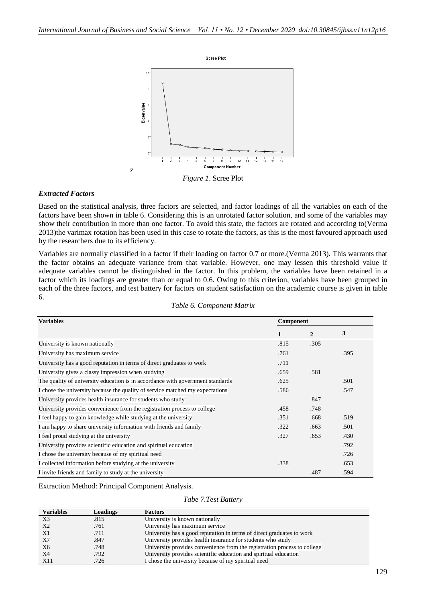

*Figure 1*. Scree Plot

#### *Extracted Factors*

Based on the statistical analysis, three factors are selected, and factor loadings of all the variables on each of the factors have been shown in table 6. Considering this is an unrotated factor solution, and some of the variables may show their contribution in more than one factor. To avoid this state, the factors are rotated and according to(Verma 2013)the varimax rotation has been used in this case to rotate the factors, as this is the most favoured approach used by the researchers due to its efficiency.

Variables are normally classified in a factor if their loading on factor 0.7 or more.(Verma 2013). This warrants that the factor obtains an adequate variance from that variable. However, one may lessen this threshold value if adequate variables cannot be distinguished in the factor. In this problem, the variables have been retained in a factor which its loadings are greater than or equal to 0.6. Owing to this criterion, variables have been grouped in each of the three factors, and test battery for factors on student satisfaction on the academic course is given in table 6.

|  | Table 6. Component Matrix |  |
|--|---------------------------|--|
|--|---------------------------|--|

| <b>Variables</b>                                                               | Component |                |      |  |
|--------------------------------------------------------------------------------|-----------|----------------|------|--|
|                                                                                | 1         | $\overline{2}$ | 3    |  |
| University is known nationally                                                 | .815      | .305           |      |  |
| University has maximum service                                                 | .761      |                | .395 |  |
| University has a good reputation in terms of direct graduates to work          | .711      |                |      |  |
| University gives a classy impression when studying                             | .659      | .581           |      |  |
| The quality of university education is in accordance with government standards | .625      |                | .501 |  |
| I chose the university because the quality of service matched my expectations  | .586      |                | .547 |  |
| University provides health insurance for students who study                    |           | .847           |      |  |
| University provides convenience from the registration process to college       | .458      | .748           |      |  |
| I feel happy to gain knowledge while studying at the university                | .351      | .668           | .519 |  |
| I am happy to share university information with friends and family             | .322      | .663           | .501 |  |
| I feel proud studying at the university                                        | .327      | .653           | .430 |  |
| University provides scientific education and spiritual education               |           |                | .792 |  |
| I chose the university because of my spiritual need                            |           |                | .726 |  |
| I collected information before studying at the university                      | .338      |                | .653 |  |
| I invite friends and family to study at the university                         |           | .487           | .594 |  |

Extraction Method: Principal Component Analysis.

*Tabe 7.Test Battery*

| <b>Variables</b> | Loadings | <b>Factors</b>                                                           |
|------------------|----------|--------------------------------------------------------------------------|
| X <sub>3</sub>   | .815     | University is known nationally                                           |
| X2               | .761     | University has maximum service                                           |
| X1               | .711     | University has a good reputation in terms of direct graduates to work    |
| X7               | .847     | University provides health insurance for students who study              |
| X6               | .748     | University provides convenience from the registration process to college |
| X4               | .792     | University provides scientific education and spiritual education         |
| X11              | .726     | I chose the university because of my spiritual need                      |